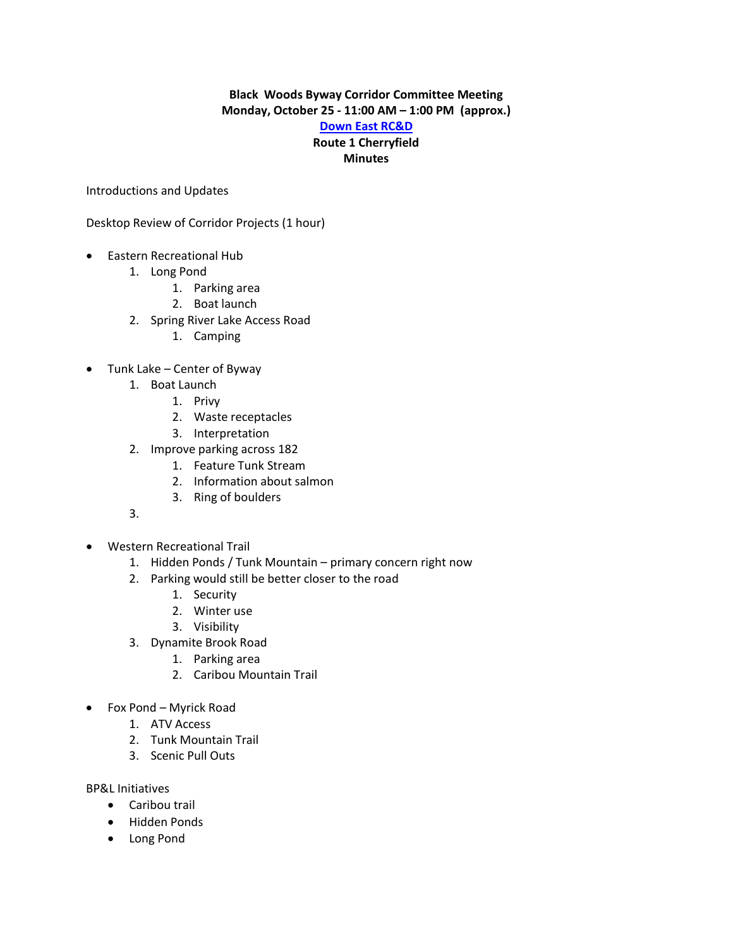## **Black Woods Byway Corridor Committee Meeting Monday, October 25 - 11:00 AM – 1:00 PM (approx.)**

## **[Down East RC&D](http://www.downeastrcd.com/) Route 1 Cherryfield Minutes**

Introductions and Updates

Desktop Review of Corridor Projects (1 hour)

- Eastern Recreational Hub
	- 1. Long Pond
		- 1. Parking area
		- 2. Boat launch
	- 2. Spring River Lake Access Road
		- 1. Camping
- Tunk Lake Center of Byway
	- 1. Boat Launch
		- 1. Privy
		- 2. Waste receptacles
		- 3. Interpretation
	- 2. Improve parking across 182
		- 1. Feature Tunk Stream
		- 2. Information about salmon
		- 3. Ring of boulders
	- 3.
- Western Recreational Trail
	- 1. Hidden Ponds / Tunk Mountain primary concern right now
	- 2. Parking would still be better closer to the road
		- 1. Security
		- 2. Winter use
		- 3. Visibility
	- 3. Dynamite Brook Road
		- 1. Parking area
		- 2. Caribou Mountain Trail
- Fox Pond Myrick Road
	- 1. ATV Access
	- 2. Tunk Mountain Trail
	- 3. Scenic Pull Outs

BP&L Initiatives

- Caribou trail
- Hidden Ponds
- Long Pond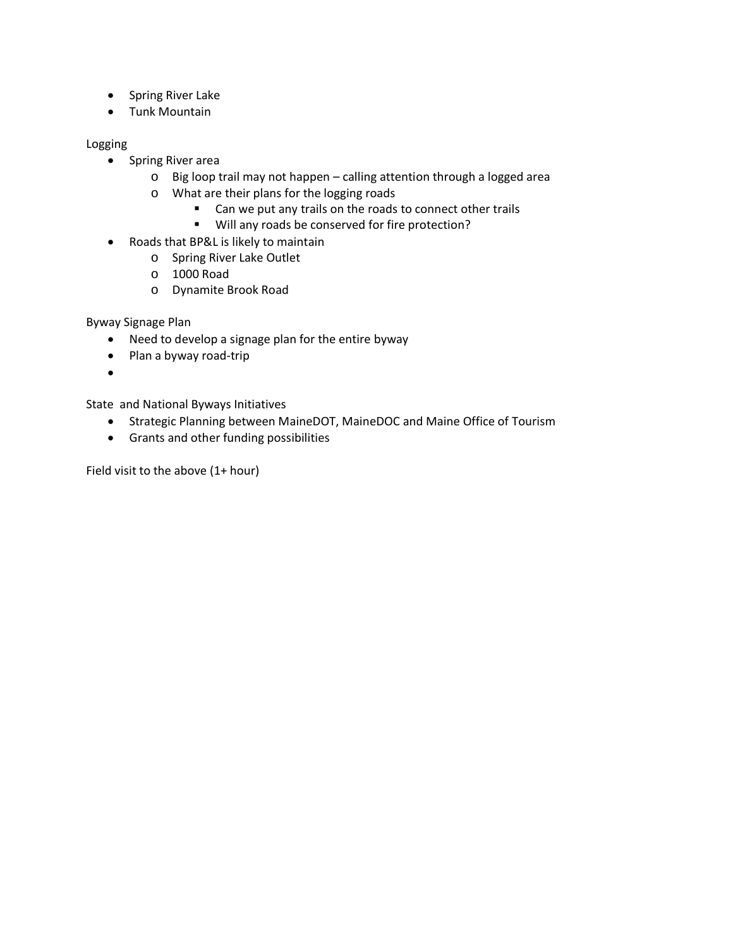- Spring River Lake
- Tunk Mountain

Logging

- Spring River area
	- o Big loop trail may not happen calling attention through a logged area
	- o What are their plans for the logging roads
		- **EXTERC** Can we put any trails on the roads to connect other trails
		- Will any roads be conserved for fire protection?
- Roads that BP&L is likely to maintain
	- o Spring River Lake Outlet
	- o 1000 Road
	- o Dynamite Brook Road

Byway Signage Plan

- Need to develop a signage plan for the entire byway
- Plan a byway road-trip
- •

State and National Byways Initiatives

- Strategic Planning between MaineDOT, MaineDOC and Maine Office of Tourism
- Grants and other funding possibilities

Field visit to the above (1+ hour)